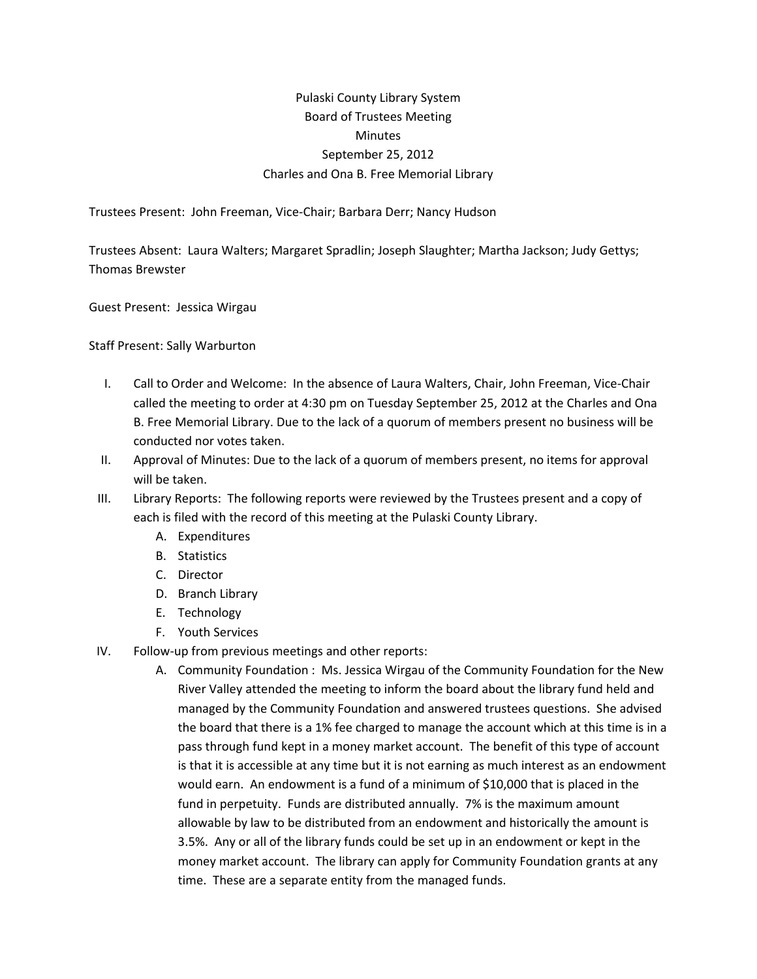## Pulaski County Library System Board of Trustees Meeting **Minutes** September 25, 2012 Charles and Ona B. Free Memorial Library

Trustees Present: John Freeman, Vice‐Chair; Barbara Derr; Nancy Hudson

Trustees Absent: Laura Walters; Margaret Spradlin; Joseph Slaughter; Martha Jackson; Judy Gettys; Thomas Brewster

Guest Present: Jessica Wirgau

Staff Present: Sally Warburton

- I. Call to Order and Welcome: In the absence of Laura Walters, Chair, John Freeman, Vice‐Chair called the meeting to order at 4:30 pm on Tuesday September 25, 2012 at the Charles and Ona B. Free Memorial Library. Due to the lack of a quorum of members present no business will be conducted nor votes taken.
- II. Approval of Minutes: Due to the lack of a quorum of members present, no items for approval will be taken.
- III. Library Reports: The following reports were reviewed by the Trustees present and a copy of each is filed with the record of this meeting at the Pulaski County Library.
	- A. Expenditures
	- B. Statistics
	- C. Director
	- D. Branch Library
	- E. Technology
	- F. Youth Services
- IV. Follow‐up from previous meetings and other reports:
	- A. Community Foundation : Ms. Jessica Wirgau of the Community Foundation for the New River Valley attended the meeting to inform the board about the library fund held and managed by the Community Foundation and answered trustees questions. She advised the board that there is a 1% fee charged to manage the account which at this time is in a pass through fund kept in a money market account. The benefit of this type of account is that it is accessible at any time but it is not earning as much interest as an endowment would earn. An endowment is a fund of a minimum of \$10,000 that is placed in the fund in perpetuity. Funds are distributed annually. 7% is the maximum amount allowable by law to be distributed from an endowment and historically the amount is 3.5%. Any or all of the library funds could be set up in an endowment or kept in the money market account. The library can apply for Community Foundation grants at any time. These are a separate entity from the managed funds.